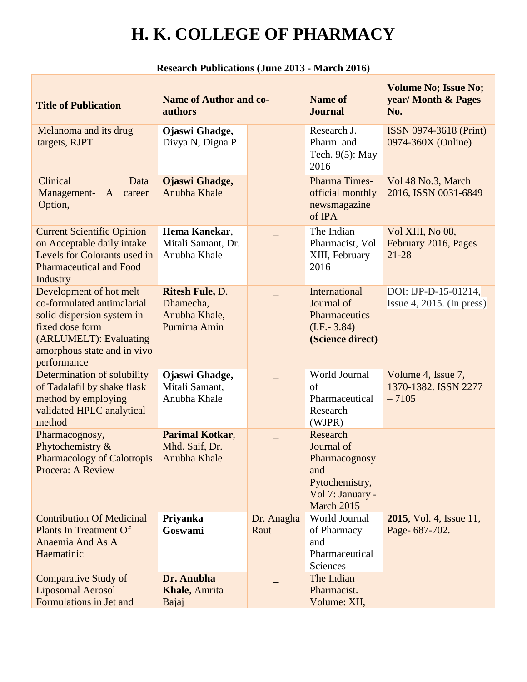| <b>Title of Publication</b>                                                                                                                                                    | <b>Name of Author and co-</b><br>authors                             |                    | <b>Name of</b><br><b>Journal</b>                                                                   | <b>Volume No; Issue No;</b><br>year/ Month & Pages<br>No. |
|--------------------------------------------------------------------------------------------------------------------------------------------------------------------------------|----------------------------------------------------------------------|--------------------|----------------------------------------------------------------------------------------------------|-----------------------------------------------------------|
| Melanoma and its drug<br>targets, RJPT                                                                                                                                         | Ojaswi Ghadge,<br>Divya N, Digna P                                   |                    | Research J.<br>Pharm. and<br>Tech. $9(5)$ : May<br>2016                                            | ISSN 0974-3618 (Print)<br>0974-360X (Online)              |
| Clinical<br>Data<br>Management-<br>$\mathbf{A}$<br>career<br>Option,                                                                                                           | <b>Ojaswi Ghadge,</b><br>Anubha Khale                                |                    | Pharma Times-<br>official monthly<br>newsmagazine<br>of IPA                                        | Vol 48 No.3, March<br>2016, ISSN 0031-6849                |
| <b>Current Scientific Opinion</b><br>on Acceptable daily intake<br>Levels for Colorants used in<br><b>Pharmaceutical and Food</b><br>Industry                                  | Hema Kanekar,<br>Mitali Samant, Dr.<br>Anubha Khale                  |                    | The Indian<br>Pharmacist, Vol<br>XIII, February<br>2016                                            | Vol XIII, No 08,<br>February 2016, Pages<br>$21 - 28$     |
| Development of hot melt<br>co-formulated antimalarial<br>solid dispersion system in<br>fixed dose form<br>(ARLUMELT): Evaluating<br>amorphous state and in vivo<br>performance | <b>Ritesh Fule, D.</b><br>Dhamecha.<br>Anubha Khale,<br>Purnima Amin |                    | International<br>Journal of<br>Pharmaceutics<br>$(I.F. - 3.84)$<br>(Science direct)                | DOI: IJP-D-15-01214,<br>$ $ Issue 4, 2015. (In press)     |
| Determination of solubility<br>of Tadalafil by shake flask<br>method by employing<br>validated HPLC analytical<br>method                                                       | Ojaswi Ghadge,<br>Mitali Samant,<br>Anubha Khale                     |                    | World Journal<br>of<br>Pharmaceutical<br>Research<br>(WJPR)                                        | Volume 4, Issue 7,<br>1370-1382. ISSN 2277<br>$-7105$     |
| Pharmacognosy,<br>Phytochemistry &<br><b>Pharmacology of Calotropis</b><br>Procera: A Review                                                                                   | <b>Parimal Kotkar,</b><br>Mhd. Saif, Dr.<br>Anubha Khale             |                    | Research<br>Journal of<br>Pharmacognosy<br>and<br>Pytochemistry,<br>Vol 7: January -<br>March 2015 |                                                           |
| <b>Contribution Of Medicinal</b><br><b>Plants In Treatment Of</b><br>Anaemia And As A<br>Haematinic                                                                            | Priyanka<br>Goswami                                                  | Dr. Anagha<br>Raut | World Journal<br>of Pharmacy<br>and<br>Pharmaceutical<br>Sciences                                  | <b>2015</b> , Vol. 4, Issue 11,<br>Page-687-702.          |
| <b>Comparative Study of</b><br><b>Liposomal Aerosol</b><br>Formulations in Jet and                                                                                             | Dr. Anubha<br>Khale, Amrita<br>Bajaj                                 |                    | The Indian<br>Pharmacist.<br>Volume: XII,                                                          |                                                           |

#### **Research Publications (June 2013 - March 2016)**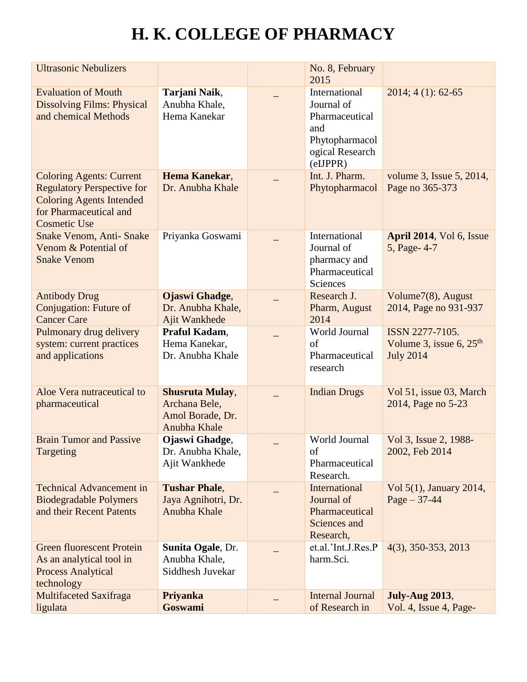| <b>Ultrasonic Nebulizers</b>                                                                                                                             |                                                                             | No. 8, February<br>2015                                                                               |                                                                  |
|----------------------------------------------------------------------------------------------------------------------------------------------------------|-----------------------------------------------------------------------------|-------------------------------------------------------------------------------------------------------|------------------------------------------------------------------|
| <b>Evaluation of Mouth</b><br><b>Dissolving Films: Physical</b><br>and chemical Methods                                                                  | Tarjani Naik,<br>Anubha Khale,<br>Hema Kanekar                              | International<br>Journal of<br>Pharmaceutical<br>and<br>Phytopharmacol<br>ogical Research<br>(eIJPPR) | $2014; 4(1): 62-65$                                              |
| <b>Coloring Agents: Current</b><br><b>Regulatory Perspective for</b><br><b>Coloring Agents Intended</b><br>for Pharmaceutical and<br><b>Cosmetic Use</b> | Hema Kanekar,<br>Dr. Anubha Khale                                           | Int. J. Pharm.<br>Phytopharmacol                                                                      | volume 3, Issue 5, 2014,<br>Page no 365-373                      |
| Snake Venom, Anti-Snake<br>Venom & Potential of<br><b>Snake Venom</b>                                                                                    | Priyanka Goswami                                                            | International<br>Journal of<br>pharmacy and<br>Pharmaceutical<br>Sciences                             | April 2014, Vol 6, Issue<br>5, Page- 4-7                         |
| <b>Antibody Drug</b><br>Conjugation: Future of<br><b>Cancer Care</b>                                                                                     | Ojaswi Ghadge,<br>Dr. Anubha Khale,<br>Ajit Wankhede                        | Research J.<br>Pharm, August<br>2014                                                                  | Volume7(8), August<br>2014, Page no 931-937                      |
| Pulmonary drug delivery<br>system: current practices<br>and applications                                                                                 | Praful Kadam,<br>Hema Kanekar,<br>Dr. Anubha Khale                          | World Journal<br>of<br>Pharmaceutical<br>research                                                     | ISSN 2277-7105.<br>Volume 3, issue 6, $25th$<br><b>July 2014</b> |
| Aloe Vera nutraceutical to<br>pharmaceutical                                                                                                             | <b>Shusruta Mulay,</b><br>Archana Bele,<br>Amol Borade, Dr.<br>Anubha Khale | <b>Indian Drugs</b>                                                                                   | Vol 51, issue 03, March<br>2014, Page no 5-23                    |
| <b>Brain Tumor and Passive</b><br>Targeting                                                                                                              | Ojaswi Ghadge,<br>Dr. Anubha Khale,<br>Ajit Wankhede                        | World Journal<br>of<br>Pharmaceutical<br>Research.                                                    | Vol 3, Issue 2, 1988-<br>2002, Feb 2014                          |
| <b>Technical Advancement in</b><br><b>Biodegradable Polymers</b><br>and their Recent Patents                                                             | <b>Tushar Phale,</b><br>Jaya Agnihotri, Dr.<br>Anubha Khale                 | <b>International</b><br>Journal of<br>Pharmaceutical<br>Sciences and<br>Research,                     | Vol 5(1), January 2014,<br>$Page - 37 - 44$                      |
| <b>Green fluorescent Protein</b><br>As an analytical tool in<br><b>Process Analytical</b><br>technology                                                  | <b>Sunita Ogale, Dr.</b><br>Anubha Khale,<br>Siddhesh Juvekar               | et.al.'Int.J.Res.P<br>harm.Sci.                                                                       | $4(3)$ , 350-353, 2013                                           |
| <b>Multifaceted Saxifraga</b><br>ligulata                                                                                                                | Priyanka<br>Goswami                                                         | <b>Internal Journal</b><br>of Research in                                                             | <b>July-Aug 2013,</b><br>Vol. 4, Issue 4, Page-                  |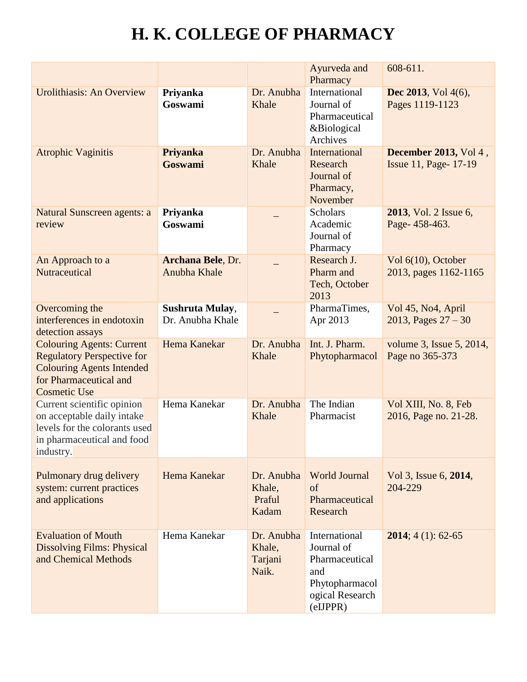|                                                                                                                                                            |                                     |                                          | Ayurveda and<br>Pharmacy                                                                             | 608-611.                                              |
|------------------------------------------------------------------------------------------------------------------------------------------------------------|-------------------------------------|------------------------------------------|------------------------------------------------------------------------------------------------------|-------------------------------------------------------|
| Urolithiasis: An Overview                                                                                                                                  | Priyanka<br>Goswami                 | Dr. Anubha<br>Khale                      | <b>International</b><br>Journal of<br>Pharmaceutical<br>&Biological<br>Archives                      | <b>Dec 2013</b> , Vol 4(6),<br>Pages 1119-1123        |
| <b>Atrophic Vaginitis</b>                                                                                                                                  | Priyanka<br><b>Goswami</b>          | Dr. Anubha<br>Khale                      | International<br>Research<br>Journal of<br>Pharmacy,<br>November                                     | <b>December 2013, Vol 4,</b><br>Issue 11, Page- 17-19 |
| Natural Sunscreen agents: a<br>review                                                                                                                      | Priyanka<br>Goswami                 |                                          | <b>Scholars</b><br>Academic<br>Journal of<br>Pharmacy                                                | <b>2013</b> , Vol. 2 Issue 6,<br>Page-458-463.        |
| An Approach to a<br>Nutraceutical                                                                                                                          | Archana Bele, Dr.<br>Anubha Khale   |                                          | Research J.<br>Pharm and<br>Tech, October<br>2013                                                    | Vol 6(10), October<br>2013, pages 1162-1165           |
| Overcoming the<br>interferences in endotoxin<br>detection assays                                                                                           | Sushruta Mulay,<br>Dr. Anubha Khale |                                          | PharmaTimes,<br>Apr 2013                                                                             | Vol 45, No4, April<br>2013, Pages $27 - 30$           |
| <b>Colouring Agents: Current</b><br><b>Regulatory Perspective for</b><br><b>Colouring Agents Intended</b><br>for Pharmaceutical and<br><b>Cosmetic Use</b> | Hema Kanekar                        | Dr. Anubha<br>Khale                      | Int. J. Pharm.<br>Phytopharmacol                                                                     | volume 3, Issue 5, 2014,<br>Page no 365-373           |
| Current scientific opinion<br>on acceptable daily intake<br>levels for the colorants used<br>in pharmaceutical and food<br>industry.                       | Hema Kanekar                        | Dr. Anubha<br>Khale                      | The Indian<br>Pharmacist                                                                             | Vol XIII, No. 8, Feb<br>2016, Page no. 21-28.         |
| Pulmonary drug delivery<br>system: current practices<br>and applications                                                                                   | Hema Kanekar                        | Dr. Anubha<br>Khale,<br>Praful<br>Kadam  | <b>World Journal</b><br>of<br>Pharmaceutical<br>Research                                             | Vol 3, Issue 6, 2014,<br>204-229                      |
| <b>Evaluation of Mouth</b><br><b>Dissolving Films: Physical</b><br>and Chemical Methods                                                                    | Hema Kanekar                        | Dr. Anubha<br>Khale,<br>Tarjani<br>Naik. | International<br>Journal of<br>Pharmaceutical<br>and<br>Phytopharmacol<br>ogical Research<br>eIJPPR) | <b>2014</b> ; 4 (1): 62-65                            |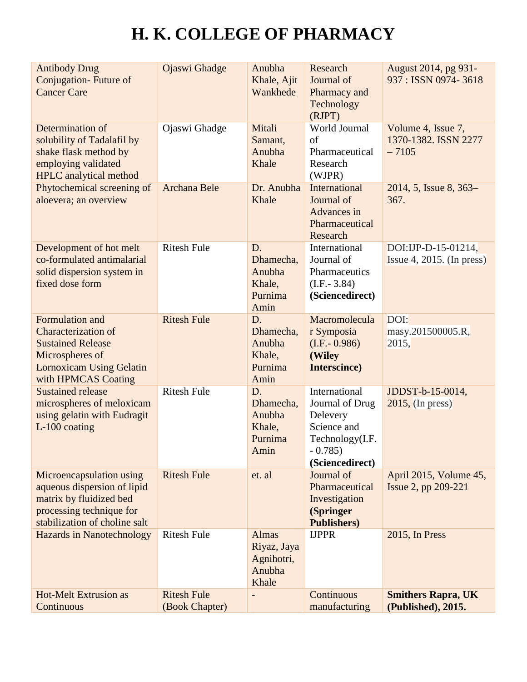| <b>Antibody Drug</b><br><b>Conjugation-Future of</b><br><b>Cancer Care</b>                                                                             | Ojaswi Ghadge                        | Anubha<br>Khale, Ajit<br>Wankhede                            | Research<br>Journal of<br>Pharmacy and<br>Technology<br>(RJPT)                                                | August 2014, pg 931-<br>937: ISSN 0974-3618           |
|--------------------------------------------------------------------------------------------------------------------------------------------------------|--------------------------------------|--------------------------------------------------------------|---------------------------------------------------------------------------------------------------------------|-------------------------------------------------------|
| Determination of<br>solubility of Tadalafil by<br>shake flask method by<br>employing validated<br><b>HPLC</b> analytical method                        | Ojaswi Ghadge                        | Mitali<br>Samant,<br>Anubha<br>Khale                         | World Journal<br>of<br>Pharmaceutical<br>Research<br>(WJPR)                                                   | Volume 4, Issue 7,<br>1370-1382. ISSN 2277<br>$-7105$ |
| Phytochemical screening of<br>aloevera; an overview                                                                                                    | <b>Archana Bele</b>                  | Dr. Anubha<br>Khale                                          | International<br>Journal of<br>Advances in<br>Pharmaceutical<br>Research                                      | 2014, 5, Issue 8, 363–<br>367.                        |
| Development of hot melt<br>co-formulated antimalarial<br>solid dispersion system in<br>fixed dose form                                                 | <b>Ritesh Fule</b>                   | D.<br>Dhamecha,<br>Anubha<br>Khale,<br>Purnima<br>Amin       | International<br>Journal of<br>Pharmaceutics<br>$(LF - 3.84)$<br>(Sciencedirect)                              | DOI:IJP-D-15-01214,<br>$ $ Issue 4, 2015. (In press)  |
| Formulation and<br><b>Characterization of</b><br><b>Sustained Release</b><br>Microspheres of<br><b>Lornoxicam Using Gelatin</b><br>with HPMCAS Coating | <b>Ritesh Fule</b>                   | D.<br>Dhamecha,<br>Anubha<br>Khale,<br>Purnima<br>Amin       | Macromolecula<br>r Symposia<br>$(I.F.- 0.986)$<br>(Wiley<br>Interscince)                                      | DOI:<br>masy.201500005.R,<br>2015,                    |
| <b>Sustained release</b><br>microspheres of meloxicam<br>using gelatin with Eudragit<br>L-100 coating                                                  | <b>Ritesh Fule</b>                   | D.<br>Dhamecha,<br>Anubha<br>Khale,<br>Purnima<br>Amin       | International<br>Journal of Drug<br>Delevery<br>Science and<br>Technology(I.F.<br>$-0.785$<br>(Sciencedirect) | JDDST-b-15-0014,<br>$2015$ , (In press)               |
| Microencapsulation using<br>aqueous dispersion of lipid<br>matrix by fluidized bed<br>processing technique for<br>stabilization of choline salt        | <b>Ritesh Fule</b>                   | et. al                                                       | Journal of<br>Pharmaceutical<br>Investigation<br>(Springer<br><b>Publishers</b> )                             | April 2015, Volume 45,<br>Issue 2, pp 209-221         |
| <b>Hazards in Nanotechnology</b>                                                                                                                       | <b>Ritesh Fule</b>                   | <b>Almas</b><br>Riyaz, Jaya<br>Agnihotri,<br>Anubha<br>Khale | <b>IJPPR</b>                                                                                                  | 2015, In Press                                        |
| <b>Hot-Melt Extrusion as</b><br>Continuous                                                                                                             | <b>Ritesh Fule</b><br>(Book Chapter) |                                                              | Continuous<br>manufacturing                                                                                   | <b>Smithers Rapra, UK</b><br>(Published), 2015.       |